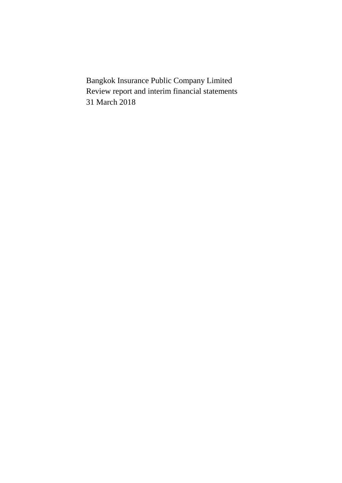Bangkok Insurance Public Company Limited Review report and interim financial statements 31 March 2018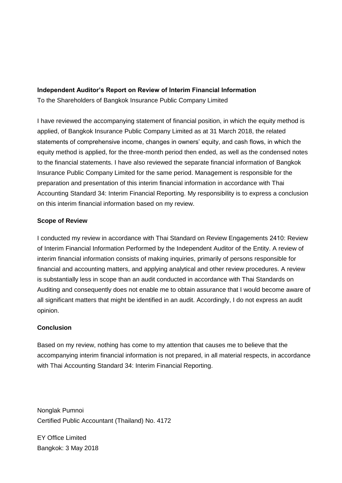### **Independent Auditor's Report on Review of Interim Financial Information**

To the Shareholders of Bangkok Insurance Public Company Limited

I have reviewed the accompanying statement of financial position, in which the equity method is applied, of Bangkok Insurance Public Company Limited as at 31 March 2018, the related statements of comprehensive income, changes in owners' equity, and cash flows, in which the equity method is applied, for the three-month period then ended, as well as the condensed notes to the financial statements. I have also reviewed the separate financial information of Bangkok Insurance Public Company Limited for the same period. Management is responsible for the preparation and presentation of this interim financial information in accordance with Thai Accounting Standard 34: Interim Financial Reporting. My responsibility is to express a conclusion on this interim financial information based on my review.

# **Scope of Review**

I conducted my review in accordance with Thai Standard on Review Engagements 2410: Review of Interim Financial Information Performed by the Independent Auditor of the Entity. A review of interim financial information consists of making inquiries, primarily of persons responsible for financial and accounting matters, and applying analytical and other review procedures. A review is substantially less in scope than an audit conducted in accordance with Thai Standards on Auditing and consequently does not enable me to obtain assurance that I would become aware of all significant matters that might be identified in an audit. Accordingly, I do not express an audit opinion.

# **Conclusion**

Based on my review, nothing has come to my attention that causes me to believe that the accompanying interim financial information is not prepared, in all material respects, in accordance with Thai Accounting Standard 34: Interim Financial Reporting.

Nonglak Pumnoi Certified Public Accountant (Thailand) No. 4172

EY Office Limited Bangkok: 3 May 2018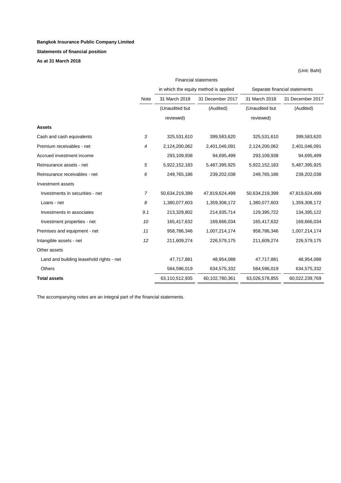#### **Bangkok Insurance Public Company Limited**

#### **Statements of financial position**

**As at 31 March 2018** 

|                                          | <b>Financial statements</b> |                |                                       |                |                               |  |
|------------------------------------------|-----------------------------|----------------|---------------------------------------|----------------|-------------------------------|--|
|                                          |                             |                | in which the equity method is applied |                | Separate financial statements |  |
|                                          | Note                        | 31 March 2018  | 31 December 2017                      | 31 March 2018  | 31 December 2017              |  |
|                                          |                             | (Unaudited but | (Audited)                             | (Unaudited but | (Audited)                     |  |
|                                          |                             | reviewed)      |                                       | reviewed)      |                               |  |
| <b>Assets</b>                            |                             |                |                                       |                |                               |  |
| Cash and cash equivalents                | 3                           | 325,531,610    | 399,583,620                           | 325,531,610    | 399,583,620                   |  |
| Premium receivables - net                | 4                           | 2,124,200,062  | 2,401,046,091                         | 2,124,200,062  | 2,401,046,091                 |  |
| Accrued investment income                |                             | 293,109,938    | 94,695,499                            | 293,109,938    | 94,695,499                    |  |
| Reinsurance assets - net                 | 5                           | 5,922,152,183  | 5,487,395,925                         | 5,922,152,183  | 5,487,395,925                 |  |
| Reinsurance receivables - net            | 6                           | 249,765,186    | 239,202,038                           | 249,765,186    | 239,202,038                   |  |
| Investment assets                        |                             |                |                                       |                |                               |  |
| Investments in securities - net          | 7                           | 50,634,219,399 | 47,819,624,499                        | 50,634,219,399 | 47,819,624,499                |  |
| Loans - net                              | 8                           | 1,380,077,603  | 1,359,308,172                         | 1,380,077,603  | 1,359,308,172                 |  |
| Investments in associates                | 9.1                         | 213,329,802    | 214,935,714                           | 129,395,722    | 134,395,122                   |  |
| Investment properties - net              | 10                          | 165,417,632    | 169,666,034                           | 165,417,632    | 169,666,034                   |  |
| Premises and equipment - net             | 11                          | 958,786,346    | 1,007,214,174                         | 958,786,346    | 1,007,214,174                 |  |
| Intangible assets - net                  | 12                          | 211,609,274    | 226,579,175                           | 211,609,274    | 226,579,175                   |  |
| Other assets                             |                             |                |                                       |                |                               |  |
| Land and building leasehold rights - net |                             | 47,717,881     | 48,954,088                            | 47,717,881     | 48,954,088                    |  |
| Others                                   |                             | 584,596,019    | 634,575,332                           | 584,596,019    | 634,575,332                   |  |
| <b>Total assets</b>                      |                             | 63,110,512,935 | 60,102,780,361                        | 63,026,578,855 | 60,022,239,769                |  |

(Unit: Baht)

The accompanying notes are an integral part of the financial statements.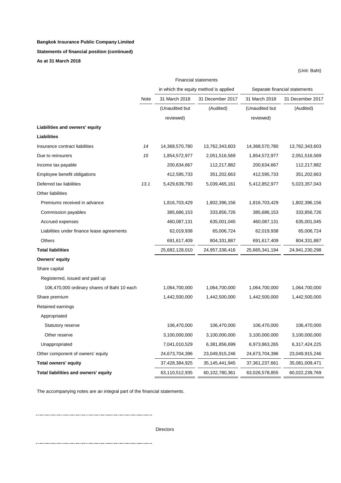#### **Bangkok Insurance Public Company Limited**

#### **Statements of financial position (continued)**

**As at 31 March 2018** 

|                                             |      |                | <b>Financial statements</b>           |                |                               |  |
|---------------------------------------------|------|----------------|---------------------------------------|----------------|-------------------------------|--|
|                                             |      |                | in which the equity method is applied |                | Separate financial statements |  |
|                                             | Note | 31 March 2018  | 31 December 2017                      | 31 March 2018  | 31 December 2017              |  |
|                                             |      | (Unaudited but | (Audited)                             | (Unaudited but | (Audited)                     |  |
|                                             |      | reviewed)      |                                       | reviewed)      |                               |  |
| Liabilities and owners' equity              |      |                |                                       |                |                               |  |
| Liabilities                                 |      |                |                                       |                |                               |  |
| Insurance contract liabilities              | 14   | 14,368,570,780 | 13,762,343,603                        | 14,368,570,780 | 13,762,343,603                |  |
| Due to reinsurers                           | 15   | 1,854,572,977  | 2,051,516,569                         | 1,854,572,977  | 2,051,516,569                 |  |
| Income tax payable                          |      | 200,634,667    | 112,217,882                           | 200,634,667    | 112,217,882                   |  |
| Employee benefit obligations                |      | 412,595,733    | 351,202,663                           | 412,595,733    | 351,202,663                   |  |
| Deferred tax liabilities                    | 13.1 | 5,429,639,793  | 5,039,465,161                         | 5,412,852,977  | 5,023,357,043                 |  |
| Other liabilities                           |      |                |                                       |                |                               |  |
| Premiums received in advance                |      | 1,816,703,429  | 1,802,396,156                         | 1,816,703,429  | 1,802,396,156                 |  |
| Commission payables                         |      | 385,686,153    | 333,856,726                           | 385,686,153    | 333,856,726                   |  |
| Accrued expenses                            |      | 460,087,131    | 635,001,045                           | 460,087,131    | 635,001,045                   |  |
| Liabilities under finance lease agreements  |      | 62,019,938     | 65,006,724                            | 62,019,938     | 65,006,724                    |  |
| Others                                      |      | 691,617,409    | 804,331,887                           | 691,617,409    | 804,331,887                   |  |
| <b>Total liabilities</b>                    |      | 25,682,128,010 | 24,957,338,416                        | 25,665,341,194 | 24,941,230,298                |  |
| Owners' equity                              |      |                |                                       |                |                               |  |
| Share capital                               |      |                |                                       |                |                               |  |
| Registerred, issued and paid up             |      |                |                                       |                |                               |  |
| 106,470,000 ordinary shares of Baht 10 each |      | 1,064,700,000  | 1,064,700,000                         | 1,064,700,000  | 1,064,700,000                 |  |
| Share premium                               |      | 1,442,500,000  | 1,442,500,000                         | 1,442,500,000  | 1,442,500,000                 |  |
| Retained earnings                           |      |                |                                       |                |                               |  |
| Appropriated                                |      |                |                                       |                |                               |  |
| Statutory reserve                           |      | 106,470,000    | 106,470,000                           | 106,470,000    | 106,470,000                   |  |
| Other reserve                               |      | 3,100,000,000  | 3,100,000,000                         | 3,100,000,000  | 3,100,000,000                 |  |
| Unappropriated                              |      | 7,041,010,529  | 6,381,856,699                         | 6,973,863,265  | 6,317,424,225                 |  |
| Other component of owners' equity           |      | 24,673,704,396 | 23,049,915,246                        | 24,673,704,396 | 23,049,915,246                |  |
| <b>Total owners' equity</b>                 |      | 37,428,384,925 | 35,145,441,945                        | 37,361,237,661 | 35,081,009,471                |  |
| Total liabilities and owners' equity        |      | 63,110,512,935 | 60,102,780,361                        | 63,026,578,855 | 60,022,239,769                |  |

(Unit: Baht)

The accompanying notes are an integral part of the financial statements.

Directors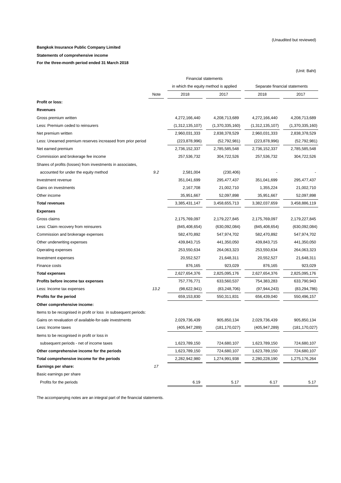#### (Unaudited but reviewed)

(Unit: Baht)

#### **Bangkok Insurance Public Company Limited**

#### **Statements of comprehensive income**

**For the three-month period ended 31 March 2018** 

|                                                                 | <b>Financial statements</b> |                                       |                 |                               |                 |  |
|-----------------------------------------------------------------|-----------------------------|---------------------------------------|-----------------|-------------------------------|-----------------|--|
|                                                                 |                             | in which the equity method is applied |                 | Separate financial statements |                 |  |
|                                                                 | Note                        | 2018                                  | 2017            | 2018                          | 2017            |  |
| Profit or loss:                                                 |                             |                                       |                 |                               |                 |  |
| Revenues                                                        |                             |                                       |                 |                               |                 |  |
| Gross premium written                                           |                             | 4,272,166,440                         | 4,208,713,689   | 4,272,166,440                 | 4,208,713,689   |  |
| Less: Premium ceded to reinsurers                               |                             | (1,312,135,107)                       | (1,370,335,160) | (1,312,135,107)               | (1,370,335,160) |  |
| Net premium written                                             |                             | 2,960,031,333                         | 2,838,378,529   | 2,960,031,333                 | 2,838,378,529   |  |
| Less: Unearned premium reserves increased from prior period     |                             | (223, 878, 996)                       | (52, 792, 981)  | (223, 878, 996)               | (52, 792, 981)  |  |
| Net earned premium                                              |                             | 2,736,152,337                         | 2,785,585,548   | 2,736,152,337                 | 2,785,585,548   |  |
| Commission and brokerage fee income                             |                             | 257,536,732                           | 304,722,526     | 257,536,732                   | 304,722,526     |  |
| Shares of profits (losses) from investments in associates,      |                             |                                       |                 |                               |                 |  |
| accounted for under the equity method                           | 9.2                         | 2,581,004                             | (230, 406)      |                               |                 |  |
| Investment revenue                                              |                             | 351,041,699                           | 295,477,437     | 351,041,699                   | 295,477,437     |  |
| Gains on investments                                            |                             | 2,167,708                             | 21,002,710      | 1,355,224                     | 21,002,710      |  |
| Other income                                                    |                             | 35,951,667                            | 52,097,898      | 35,951,667                    | 52,097,898      |  |
| <b>Total revenues</b>                                           |                             | 3,385,431,147                         | 3,458,655,713   | 3,382,037,659                 | 3,458,886,119   |  |
| <b>Expenses</b>                                                 |                             |                                       |                 |                               |                 |  |
| Gross claims                                                    |                             | 2,175,769,097                         | 2,179,227,845   | 2,175,769,097                 | 2,179,227,845   |  |
| Less: Claim recovery from reinsurers                            |                             | (845, 408, 654)                       | (630,092,084)   | (845, 408, 654)               | (630,092,084)   |  |
| Commission and brokerage expenses                               |                             | 582,470,892                           | 547,974,702     | 582,470,892                   | 547,974,702     |  |
| Other underwriting expenses                                     |                             | 439,843,715                           | 441,350,050     | 439,843,715                   | 441,350,050     |  |
| Operating expenses                                              |                             | 253,550,634                           | 264,063,323     | 253,550,634                   | 264,063,323     |  |
| Investment expenses                                             |                             | 20,552,527                            | 21,648,311      | 20,552,527                    | 21,648,311      |  |
| Finance costs                                                   |                             | 876,165                               | 923,029         | 876,165                       | 923,029         |  |
| <b>Total expenses</b>                                           |                             | 2,627,654,376                         | 2,825,095,176   | 2,627,654,376                 | 2,825,095,176   |  |
| Profits before income tax expenses                              |                             | 757,776,771                           | 633,560,537     | 754,383,283                   | 633,790,943     |  |
| Less: Income tax expenses                                       | 13.2                        | (98, 622, 941)                        | (83, 248, 706)  | (97, 944, 243)                | (83, 294, 786)  |  |
| Profits for the period                                          |                             | 659,153,830                           | 550,311,831     | 656,439,040                   | 550,496,157     |  |
| Other comprehensive income:                                     |                             |                                       |                 |                               |                 |  |
| Items to be recognised in profit or loss in subsequent periods: |                             |                                       |                 |                               |                 |  |
| Gains on revaluation of available-for-sale investments          |                             | 2,029,736,439                         | 905,850,134     | 2,029,736,439                 | 905,850,134     |  |
| Less: Income taxes                                              |                             | (405, 947, 289)                       | (181,170,027)   | (405,947,289)                 | (181, 170, 027) |  |
| Items to be recognised in profit or loss in                     |                             |                                       |                 |                               |                 |  |
| subsequent periods - net of income taxes                        |                             | 1,623,789,150                         | 724,680,107     | 1,623,789,150                 | 724,680,107     |  |
| Other comprehensive income for the periods                      |                             | 1,623,789,150                         | 724,680,107     | 1,623,789,150                 | 724,680,107     |  |
| Total comprehensive income for the periods                      |                             | 2,282,942,980                         | 1,274,991,938   | 2,280,228,190                 | 1,275,176,264   |  |
| Earnings per share:                                             | 17                          |                                       |                 |                               |                 |  |
| Basic earnings per share                                        |                             |                                       |                 |                               |                 |  |
| Profits for the periods                                         |                             | 6.19                                  | 5.17            | 6.17                          | 5.17            |  |

The accompanying notes are an integral part of the financial statements.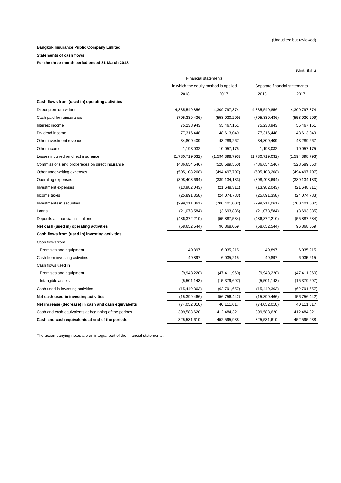(Unit: Baht)

#### **Bangkok Insurance Public Company Limited**

#### **Statements of cash flows**

**For the three-month period ended 31 March 2018** 

|                                                       | <b>Financial statements</b>           |                 |                 |                               |  |
|-------------------------------------------------------|---------------------------------------|-----------------|-----------------|-------------------------------|--|
|                                                       | in which the equity method is applied |                 |                 | Separate financial statements |  |
|                                                       | 2018                                  | 2017            | 2018            | 2017                          |  |
| Cash flows from (used in) operating activities        |                                       |                 |                 |                               |  |
| Direct premium written                                | 4,335,549,856                         | 4,309,797,374   | 4,335,549,856   | 4,309,797,374                 |  |
| Cash paid for reinsurance                             | (705, 339, 436)                       | (558,030,209)   | (705, 339, 436) | (558,030,209)                 |  |
| Interest income                                       | 75,238,943                            | 55,467,151      | 75,238,943      | 55,467,151                    |  |
| Dividend income                                       | 77,316,448                            | 48,613,049      | 77,316,448      | 48,613,049                    |  |
| Other investment revenue                              | 34,809,409                            | 43,289,267      | 34,809,409      | 43,289,267                    |  |
| Other income                                          | 1,193,032                             | 10,057,175      | 1,193,032       | 10,057,175                    |  |
| Losses incurred on direct insurance                   | (1,730,719,032)                       | (1,594,398,793) | (1,730,719,032) | (1,594,398,793)               |  |
| Commissions and brokerages on direct insurance        | (486,654,546)                         | (528, 589, 550) | (486, 654, 546) | (528, 589, 550)               |  |
| Other underwriting expenses                           | (505, 108, 268)                       | (494,497,707)   | (505, 108, 268) | (494, 497, 707)               |  |
| Operating expenses                                    | (308, 408, 694)                       | (389, 134, 183) | (308, 408, 694) | (389, 134, 183)               |  |
| Investment expenses                                   | (13,982,043)                          | (21, 648, 311)  | (13,982,043)    | (21, 648, 311)                |  |
| Income taxes                                          | (25, 891, 358)                        | (24, 074, 783)  | (25,891,358)    | (24, 074, 783)                |  |
| Investments in securities                             | (299,211,061)                         | (700, 401, 002) | (299, 211, 061) | (700,401,002)                 |  |
| Loans                                                 | (21, 073, 584)                        | (3,693,835)     | (21,073,584)    | (3,693,835)                   |  |
| Deposits at financial institutions                    | (486,372,210)                         | (55,887,584)    | (486,372,210)   | (55, 887, 584)                |  |
| Net cash (used in) operating activities               | (58, 652, 544)                        | 96,868,059      | (58, 652, 544)  | 96,868,059                    |  |
| Cash flows from (used in) investing activities        |                                       |                 |                 |                               |  |
| Cash flows from                                       |                                       |                 |                 |                               |  |
| Premises and equipment                                | 49,897                                | 6,035,215       | 49,897          | 6,035,215                     |  |
| Cash from investing activities                        | 49,897                                | 6,035,215       | 49,897          | 6,035,215                     |  |
| Cash flows used in                                    |                                       |                 |                 |                               |  |
| Premises and equipment                                | (9,948,220)                           | (47, 411, 960)  | (9,948,220)     | (47, 411, 960)                |  |
| Intangible assets                                     | (5,501,143)                           | (15, 379, 697)  | (5,501,143)     | (15, 379, 697)                |  |
| Cash used in investing activities                     | (15, 449, 363)                        | (62, 791, 657)  | (15, 449, 363)  | (62, 791, 657)                |  |
| Net cash used in investing activities                 | (15, 399, 466)                        | (56, 756, 442)  | (15,399,466)    | (56, 756, 442)                |  |
| Net increase (decrease) in cash and cash equivalents  | (74, 052, 010)                        | 40,111,617      | (74,052,010)    | 40,111,617                    |  |
| Cash and cash equivalents at beginning of the periods | 399,583,620                           | 412,484,321     | 399,583,620     | 412,484,321                   |  |

**Cash and cash equivalents at end of the periods** 325,531,610 452,595,938 325,531,610 452,595,938

The accompanying notes are an integral part of the financial statements.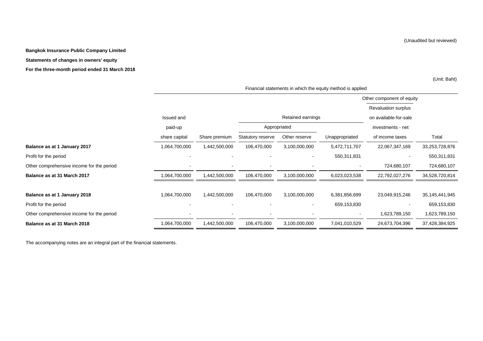**Bangkok Insurance Public Company Limited**

#### **Statements of changes in owners' equity**

**For the three-month period ended 31 March 2018** 

(Unit: Baht)

|                                           |               |               |                          |                   |                | Other component of equity  |                   |
|-------------------------------------------|---------------|---------------|--------------------------|-------------------|----------------|----------------------------|-------------------|
|                                           |               |               |                          |                   |                | <b>Revaluation surplus</b> |                   |
|                                           | Issued and    |               |                          | Retained earnings |                | on available-for-sale      |                   |
|                                           | paid-up       |               | Appropriated             |                   |                | investments - net          |                   |
|                                           | share capital | Share premium | Statutory reserve        | Other reserve     | Unappropriated | of income taxes            | Total             |
| Balance as at 1 January 2017              | 1,064,700,000 | 1,442,500,000 | 106,470,000              | 3,100,000,000     | 5,472,711,707  | 22,067,347,169             | 33,253,728,876    |
| Profit for the period                     | ۰             |               | $\overline{\phantom{a}}$ | $\blacksquare$    | 550,311,831    | $\overline{\phantom{a}}$   | 550,311,831       |
| Other comprehensive income for the period | ٠             |               | $\overline{\phantom{a}}$ |                   | $\blacksquare$ | 724,680,107                | 724,680,107       |
| Balance as at 31 March 2017               | 1,064,700,000 | 1,442,500,000 | 106,470,000              | 3,100,000,000     | 6,023,023,538  | 22,792,027,276             | 34,528,720,814    |
|                                           |               |               |                          |                   |                |                            |                   |
| Balance as at 1 January 2018              | 1,064,700,000 | 1,442,500,000 | 106,470,000              | 3,100,000,000     | 6,381,856,699  | 23,049,915,246             | 35, 145, 441, 945 |
| Profit for the period                     |               |               |                          |                   | 659,153,830    | -                          | 659,153,830       |
| Other comprehensive income for the period | -             |               |                          |                   | $\sim$         | 1,623,789,150              | 1,623,789,150     |
| Balance as at 31 March 2018               | 1,064,700,000 | 1,442,500,000 | 106,470,000              | 3,100,000,000     | 7,041,010,529  | 24,673,704,396             | 37,428,384,925    |

Financial statements in which the equity method is applied

The accompanying notes are an integral part of the financial statements.

(Unaudited but reviewed)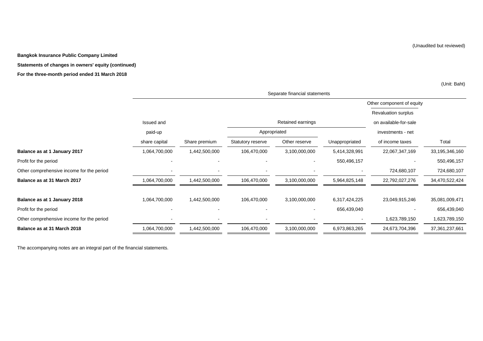(Unaudited but reviewed)

**Bangkok Insurance Public Company Limited**

#### **Statements of changes in owners' equity (continued)**

#### **For the three-month period ended 31 March 2018**

(Unit: Baht)

|                                           | Separate financial statements |                              |                   |                   |                |                            |                |  |
|-------------------------------------------|-------------------------------|------------------------------|-------------------|-------------------|----------------|----------------------------|----------------|--|
|                                           |                               |                              |                   |                   |                | Other component of equity  |                |  |
|                                           |                               |                              |                   |                   |                | <b>Revaluation surplus</b> |                |  |
|                                           | Issued and                    |                              |                   | Retained earnings |                | on available-for-sale      |                |  |
|                                           | paid-up                       |                              | Appropriated      |                   |                | investments - net          |                |  |
|                                           | share capital                 | Share premium                | Statutory reserve | Other reserve     | Unappropriated | of income taxes            | Total          |  |
| Balance as at 1 January 2017              | 1,064,700,000                 | 1,442,500,000                | 106,470,000       | 3,100,000,000     | 5,414,328,991  | 22,067,347,169             | 33,195,346,160 |  |
| Profit for the period                     |                               | $\blacksquare$               | $\blacksquare$    |                   | 550,496,157    |                            | 550,496,157    |  |
| Other comprehensive income for the period |                               | $\qquad \qquad \blacksquare$ |                   |                   |                | 724,680,107                | 724,680,107    |  |
| Balance as at 31 March 2017               | 1,064,700,000                 | 1,442,500,000                | 106,470,000       | 3,100,000,000     | 5,964,825,148  | 22,792,027,276             | 34,470,522,424 |  |
| Balance as at 1 January 2018              | 1,064,700,000                 | 1,442,500,000                | 106,470,000       | 3,100,000,000     | 6,317,424,225  | 23,049,915,246             | 35,081,009,471 |  |
| Profit for the period                     |                               |                              |                   |                   | 656,439,040    |                            | 656,439,040    |  |
| Other comprehensive income for the period |                               |                              |                   |                   |                | 1,623,789,150              | 1,623,789,150  |  |
| Balance as at 31 March 2018               | 1,064,700,000                 | 1,442,500,000                | 106,470,000       | 3,100,000,000     | 6,973,863,265  | 24,673,704,396             | 37,361,237,661 |  |

The accompanying notes are an integral part of the financial statements.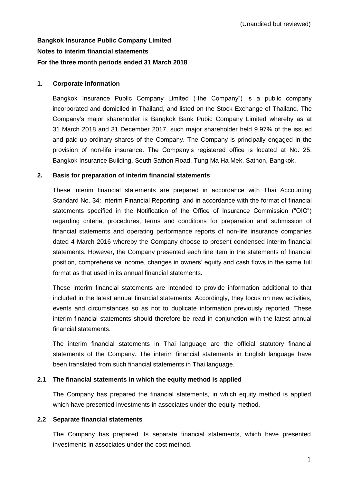# **Bangkok Insurance Public Company Limited Notes to interim financial statements For the three month periods ended 31 March 2018**

### **1. Corporate information**

Bangkok Insurance Public Company Limited ("the Company") is a public company incorporated and domiciled in Thailand, and listed on the Stock Exchange of Thailand. The Company's major shareholder is Bangkok Bank Pubic Company Limited whereby as at 31 March 2018 and 31 December 2017, such major shareholder held 9.97% of the issued and paid-up ordinary shares of the Company. The Company is principally engaged in the provision of non-life insurance. The Company's registered office is located at No. 25, Bangkok Insurance Building, South Sathon Road, Tung Ma Ha Mek, Sathon, Bangkok.

### **2. Basis for preparation of interim financial statements**

These interim financial statements are prepared in accordance with Thai Accounting Standard No. 34: Interim Financial Reporting, and in accordance with the format of financial statements specified in the Notification of the Office of Insurance Commission ("OIC") regarding criteria, procedures, terms and conditions for preparation and submission of financial statements and operating performance reports of non-life insurance companies dated 4 March 2016 whereby the Company choose to present condensed interim financial statements. However, the Company presented each line item in the statements of financial position, comprehensive income, changes in owners' equity and cash flows in the same full format as that used in its annual financial statements.

These interim financial statements are intended to provide information additional to that included in the latest annual financial statements. Accordingly, they focus on new activities, events and circumstances so as not to duplicate information previously reported. These interim financial statements should therefore be read in conjunction with the latest annual financial statements.

The interim financial statements in Thai language are the official statutory financial statements of the Company. The interim financial statements in English language have been translated from such financial statements in Thai language.

# **2.1 The financial statements in which the equity method is applied**

The Company has prepared the financial statements, in which equity method is applied, which have presented investments in associates under the equity method.

### **2.2 Separate financial statements**

The Company has prepared its separate financial statements, which have presented investments in associates under the cost method.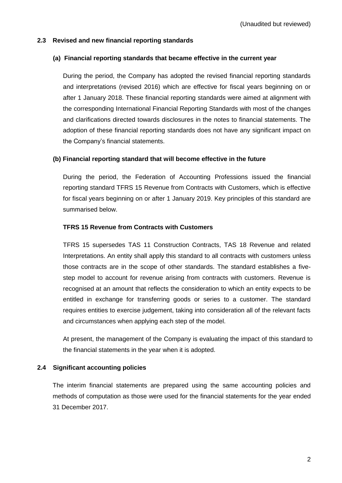### **2.3 Revised and new financial reporting standards**

### **(a) Financial reporting standards that became effective in the current year**

During the period, the Company has adopted the revised financial reporting standards and interpretations (revised 2016) which are effective for fiscal years beginning on or after 1 January 2018. These financial reporting standards were aimed at alignment with the corresponding International Financial Reporting Standards with most of the changes and clarifications directed towards disclosures in the notes to financial statements. The adoption of these financial reporting standards does not have any significant impact on the Company's financial statements.

### **(b) Financial reporting standard that will become effective in the future**

During the period, the Federation of Accounting Professions issued the financial reporting standard TFRS 15 Revenue from Contracts with Customers, which is effective for fiscal years beginning on or after 1 January 2019. Key principles of this standard are summarised below.

### **TFRS 15 Revenue from Contracts with Customers**

TFRS 15 supersedes TAS 11 Construction Contracts, TAS 18 Revenue and related Interpretations. An entity shall apply this standard to all contracts with customers unless those contracts are in the scope of other standards. The standard establishes a fivestep model to account for revenue arising from contracts with customers. Revenue is recognised at an amount that reflects the consideration to which an entity expects to be entitled in exchange for transferring goods or series to a customer. The standard requires entities to exercise judgement, taking into consideration all of the relevant facts and circumstances when applying each step of the model.

At present, the management of the Company is evaluating the impact of this standard to the financial statements in the year when it is adopted.

# **2.4 Significant accounting policies**

The interim financial statements are prepared using the same accounting policies and methods of computation as those were used for the financial statements for the year ended 31 December 2017.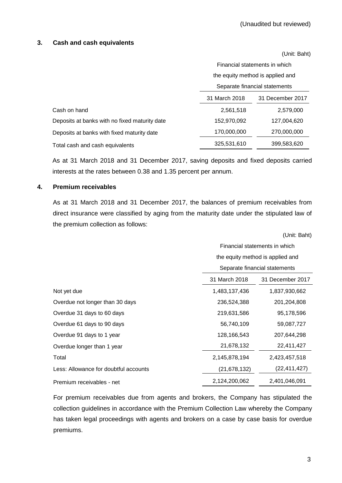(Unit: Baht)

### **3. Cash and cash equivalents**

|                                               |                                   | Financial statements in which    |  |  |  |
|-----------------------------------------------|-----------------------------------|----------------------------------|--|--|--|
|                                               |                                   | the equity method is applied and |  |  |  |
|                                               |                                   | Separate financial statements    |  |  |  |
|                                               | 31 March 2018<br>31 December 2017 |                                  |  |  |  |
| Cash on hand                                  | 2,561,518                         | 2,579,000                        |  |  |  |
| Deposits at banks with no fixed maturity date | 152,970,092                       | 127,004,620                      |  |  |  |
| Deposits at banks with fixed maturity date    | 170,000,000                       | 270,000,000                      |  |  |  |
| Total cash and cash equivalents               | 325,531,610                       | 399,583,620                      |  |  |  |

As at 31 March 2018 and 31 December 2017, saving deposits and fixed deposits carried interests at the rates between 0.38 and 1.35 percent per annum.

### **4. Premium receivables**

As at 31 March 2018 and 31 December 2017, the balances of premium receivables from direct insurance were classified by aging from the maturity date under the stipulated law of the premium collection as follows:

|                                       | (Unit: Baht)                     |                  |  |  |
|---------------------------------------|----------------------------------|------------------|--|--|
|                                       | Financial statements in which    |                  |  |  |
|                                       | the equity method is applied and |                  |  |  |
|                                       | Separate financial statements    |                  |  |  |
|                                       | 31 March 2018                    | 31 December 2017 |  |  |
| Not yet due                           | 1,483,137,436                    | 1,837,930,662    |  |  |
| Overdue not longer than 30 days       | 236,524,388                      | 201,204,808      |  |  |
| Overdue 31 days to 60 days            | 219,631,586                      | 95,178,596       |  |  |
| Overdue 61 days to 90 days            | 56,740,109                       | 59,087,727       |  |  |
| Overdue 91 days to 1 year             | 128,166,543                      | 207,644,298      |  |  |
| Overdue longer than 1 year            | 21,678,132                       | 22,411,427       |  |  |
| Total                                 | 2,145,878,194                    | 2,423,457,518    |  |  |
| Less: Allowance for doubtful accounts | (21, 678, 132)                   | (22, 411, 427)   |  |  |
| Premium receivables - net             | 2,124,200,062                    | 2,401,046,091    |  |  |

For premium receivables due from agents and brokers, the Company has stipulated the collection guidelines in accordance with the Premium Collection Law whereby the Company has taken legal proceedings with agents and brokers on a case by case basis for overdue premiums.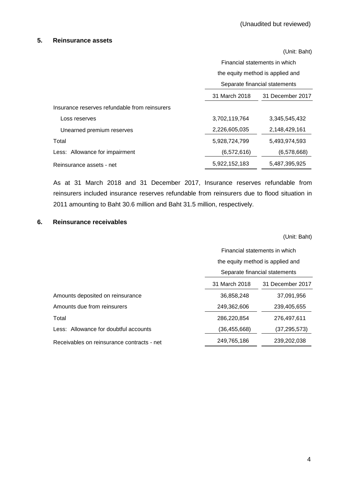#### **5. Reinsurance assets**

|                                               |               | (Unit: Baht)                     |  |  |  |
|-----------------------------------------------|---------------|----------------------------------|--|--|--|
|                                               |               | Financial statements in which    |  |  |  |
|                                               |               | the equity method is applied and |  |  |  |
|                                               |               | Separate financial statements    |  |  |  |
|                                               | 31 March 2018 | 31 December 2017                 |  |  |  |
| Insurance reserves refundable from reinsurers |               |                                  |  |  |  |
| Loss reserves                                 | 3,702,119,764 | 3,345,545,432                    |  |  |  |
| Unearned premium reserves                     | 2,226,605,035 | 2,148,429,161                    |  |  |  |
| Total                                         | 5,928,724,799 | 5,493,974,593                    |  |  |  |
| Less: Allowance for impairment                | (6,572,616)   | (6,578,668)                      |  |  |  |
| Reinsurance assets - net                      | 5,922,152,183 | 5,487,395,925                    |  |  |  |

As at 31 March 2018 and 31 December 2017, Insurance reserves refundable from reinsurers included insurance reserves refundable from reinsurers due to flood situation in 2011 amounting to Baht 30.6 million and Baht 31.5 million, respectively.

### **6. Reinsurance receivables**

(Unit: Baht)

|                                            | Financial statements in which     |              |  |  |
|--------------------------------------------|-----------------------------------|--------------|--|--|
|                                            | the equity method is applied and  |              |  |  |
|                                            | Separate financial statements     |              |  |  |
|                                            | 31 March 2018<br>31 December 2017 |              |  |  |
| Amounts deposited on reinsurance           | 36,858,248                        | 37,091,956   |  |  |
| Amounts due from reinsurers                | 249,362,606                       | 239,405,655  |  |  |
| Total                                      | 286,220,854                       | 276,497,611  |  |  |
| Less: Allowance for doubtful accounts      | (36,455,668)                      | (37,295,573) |  |  |
| Receivables on reinsurance contracts - net | 249,765,186                       | 239,202,038  |  |  |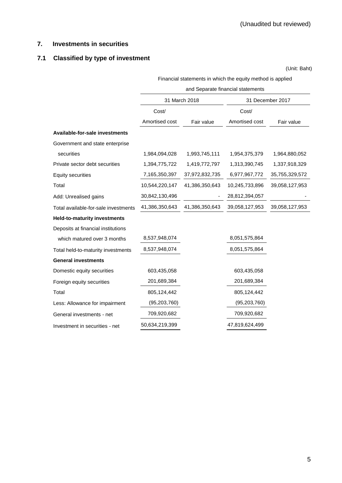# **7. Investments in securities**

# **7.1 Classified by type of investment**

(Unit: Baht)

Financial statements in which the equity method is applied

|                                      | and Separate financial statements |                |                |                  |  |  |
|--------------------------------------|-----------------------------------|----------------|----------------|------------------|--|--|
|                                      |                                   | 31 March 2018  |                | 31 December 2017 |  |  |
|                                      | Cost/                             |                | Cost/          |                  |  |  |
|                                      | Amortised cost                    | Fair value     | Amortised cost | Fair value       |  |  |
| Available-for-sale investments       |                                   |                |                |                  |  |  |
| Government and state enterprise      |                                   |                |                |                  |  |  |
| securities                           | 1,984,094,028                     | 1,993,745,111  | 1,954,375,379  | 1,964,880,052    |  |  |
| Private sector debt securities       | 1,394,775,722                     | 1,419,772,797  | 1,313,390,745  | 1,337,918,329    |  |  |
| <b>Equity securities</b>             | 7,165,350,397                     | 37,972,832,735 | 6,977,967,772  | 35,755,329,572   |  |  |
| Total                                | 10,544,220,147                    | 41,386,350,643 | 10,245,733,896 | 39,058,127,953   |  |  |
| Add: Unrealised gains                | 30,842,130,496                    |                | 28,812,394,057 |                  |  |  |
| Total available-for-sale investments | 41,386,350,643                    | 41,386,350,643 | 39,058,127,953 | 39,058,127,953   |  |  |
| <b>Held-to-maturity investments</b>  |                                   |                |                |                  |  |  |
| Deposits at financial institutions   |                                   |                |                |                  |  |  |
| which matured over 3 months          | 8,537,948,074                     |                | 8,051,575,864  |                  |  |  |
| Total held-to-maturity investments   | 8,537,948,074                     |                | 8,051,575,864  |                  |  |  |
| <b>General investments</b>           |                                   |                |                |                  |  |  |
| Domestic equity securities           | 603,435,058                       |                | 603,435,058    |                  |  |  |
| Foreign equity securities            | 201,689,384                       |                | 201,689,384    |                  |  |  |
| Total                                | 805,124,442                       |                | 805,124,442    |                  |  |  |
| Less: Allowance for impairment       | (95, 203, 760)                    |                | (95, 203, 760) |                  |  |  |
| General investments - net            | 709,920,682                       |                | 709,920,682    |                  |  |  |
| Investment in securities - net       | 50,634,219,399                    |                | 47,819,624,499 |                  |  |  |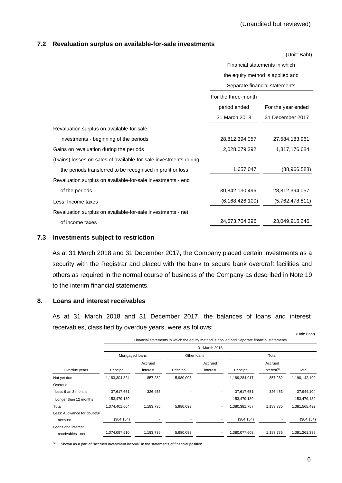#### **7.2 Revaluation surplus on available-for-sale investments**

|                                                                  |                                  | (Unit: Baht)                  |  |
|------------------------------------------------------------------|----------------------------------|-------------------------------|--|
|                                                                  | Financial statements in which    |                               |  |
|                                                                  | the equity method is applied and |                               |  |
|                                                                  |                                  | Separate financial statements |  |
|                                                                  | For the three-month              |                               |  |
|                                                                  | period ended                     | For the year ended            |  |
|                                                                  | 31 March 2018                    | 31 December 2017              |  |
| Revaluation surplus on available-for-sale                        |                                  |                               |  |
| investments - beginning of the periods                           | 28,812,394,057                   | 27,584,183,961                |  |
| Gains on revaluation during the periods                          | 2,028,079,392                    | 1,317,176,684                 |  |
| (Gains) losses on sales of available-for-sale investments during |                                  |                               |  |
| the periods transferred to be recognised in profit or loss       | 1,657,047                        | (88,966,588)                  |  |
| Revaluation surplus on available-for-sale investments - end      |                                  |                               |  |
| of the periods                                                   | 30,842,130,496                   | 28,812,394,057                |  |
| Less: Income taxes                                               | (6, 168, 426, 100)               | (5,762,478,811)               |  |
| Revaluation surplus on available-for-sale investments - net      |                                  |                               |  |
| of income taxes                                                  | 24,673,704,396                   | 23,049,915,246                |  |

#### **7.3 Investments subject to restriction**

As at 31 March 2018 and 31 December 2017, the Company placed certain investments as a security with the Registrar and placed with the bank to secure bank overdraft facilities and others as required in the normal course of business of the Company as described in Note 19 to the interim financial statements.

#### **8. Loans and interest receivables**

As at 31 March 2018 and 31 December 2017, the balances of loans and interest receivables, classified by overdue years, were as follows:

(Unit: Baht)

| Financial statements in which the equity method is applied and Separate financial statements |                 |                          |             |               |               |                           |               |
|----------------------------------------------------------------------------------------------|-----------------|--------------------------|-------------|---------------|---------------|---------------------------|---------------|
|                                                                                              |                 |                          |             | 31 March 2018 |               |                           |               |
|                                                                                              | Mortgaged loans |                          | Other Ioans |               | Total         |                           |               |
|                                                                                              |                 | Accrued                  |             | Accrued       |               | Accrued                   |               |
| Overdue years                                                                                | Principal       | interest                 | Principal   | interest      | Principal     | $interest$ <sup>(1)</sup> | Total         |
| Not yet due                                                                                  | 1,183,304,824   | 857,282                  | 5,980,093   |               | 1,189,284,917 | 857,282                   | 1,190,142,199 |
| Overdue                                                                                      |                 |                          |             |               |               |                           |               |
| Less than 3 months                                                                           | 37,617,651      | 326,453                  |             | ۰             | 37,617,651    | 326,453                   | 37,944,104    |
| Longer than 12 months                                                                        | 153,479,189     | $\overline{\phantom{a}}$ |             |               | 153,479,189   |                           | 153,479,189   |
| Total                                                                                        | 1,374,401,664   | 1,183,735                | 5,980,093   |               | 1,380,381,757 | 1,183,735                 | 1,381,565,492 |
| Less: Allowance for doubtful                                                                 |                 |                          |             |               |               |                           |               |
| account                                                                                      | (304, 154)      | $\overline{\phantom{a}}$ | ٠           |               | (304, 154)    |                           | (304, 154)    |
| Loans and interest<br>receivables - net                                                      | 1,374,097,510   | 1,183,735                | 5,980,093   | ٠.            | 1,380,077,603 | 1,183,735                 | 1,381,261,338 |

(1) Shown as a part of "accrued investment income" in the statements of financial position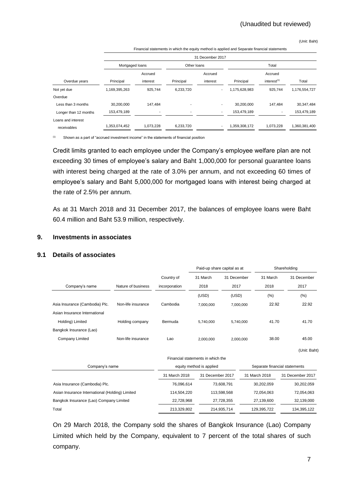# (Unaudited but reviewed)

(Unit: Baht)

| Financial statements in which the equity method is applied and Separate financial statements |                 |           |             |                  |               |                         |               |
|----------------------------------------------------------------------------------------------|-----------------|-----------|-------------|------------------|---------------|-------------------------|---------------|
|                                                                                              |                 |           |             | 31 December 2017 |               |                         |               |
|                                                                                              | Mortgaged loans |           | Other loans |                  | Total         |                         |               |
|                                                                                              |                 | Accrued   |             | Accrued          |               | Accrued                 |               |
| Overdue years                                                                                | Principal       | interest  | Principal   | interest         | Principal     | interest <sup>(1)</sup> | Total         |
| Not yet due                                                                                  | 1,169,395,263   | 925.744   | 6,233,720   |                  | 1,175,628,983 | 925.744                 | 1,176,554,727 |
| Overdue                                                                                      |                 |           |             |                  |               |                         |               |
| Less than 3 months                                                                           | 30,200,000      | 147,484   |             |                  | 30,200,000    | 147.484                 | 30,347,484    |
| Longer than 12 months                                                                        | 153,479,189     |           |             | ۰.               | 153,479,189   |                         | 153,479,189   |
| Loans and interest                                                                           |                 |           |             |                  |               |                         |               |
| receivables                                                                                  | 1,353,074,452   | 1.073.228 | 6.233.720   |                  | 1.359.308.172 | 1.073.228               | 1.360.381.400 |

Final statements in which the equity method is applied and Separate financial statements financial statements

(1) Shown as a part of "accrued investment income" in the statements of financial position

Credit limits granted to each employee under the Company's employee welfare plan are not exceeding 30 times of employee's salary and Baht 1,000,000 for personal guarantee loans with interest being charged at the rate of 3.0% per annum, and not exceeding 60 times of employee's salary and Baht 5,000,000 for mortgaged loans with interest being charged at the rate of 2.5% per annum.

As at 31 March 2018 and 31 December 2017, the balances of employee loans were Baht 60.4 million and Baht 53.9 million, respectively.

#### **9. Investments in associates**

### **9.1 Details of associates**

|                                |                    |               | Paid-up share capital as at       |             | Shareholding |              |
|--------------------------------|--------------------|---------------|-----------------------------------|-------------|--------------|--------------|
|                                |                    | Country of    | 31 March                          | 31 December | 31 March     | 31 December  |
| Company's name                 | Nature of business | incorporation | 2018                              | 2017        | 2018         | 2017         |
|                                |                    |               | (USD)                             | (USD)       | $(\% )$      | (%)          |
| Asia Insurance (Cambodia) Plc. | Non-life insurance | Cambodia      | 7,000,000                         | 7,000,000   | 22.92        | 22.92        |
| Asian Insurance International  |                    |               |                                   |             |              |              |
| Holding) Limited               | Holding company    | Bermuda       | 5,740,000                         | 5,740,000   | 41.70        | 41.70        |
| Bangkok Insurance (Lao)        |                    |               |                                   |             |              |              |
| Company Limited                | Non-life insurance | Lao           | 2,000,000                         | 2,000,000   | 38.00        | 45.00        |
|                                |                    |               |                                   |             |              | (Unit: Baht) |
|                                |                    |               | Financial statements in which the |             |              |              |

| Company's name                                  | equity method is applied |                  | Separate financial statements |                  |  |
|-------------------------------------------------|--------------------------|------------------|-------------------------------|------------------|--|
|                                                 | 31 March 2018            | 31 December 2017 | 31 March 2018                 | 31 December 2017 |  |
| Asia Insurance (Cambodia) Plc.                  | 76.096.614               | 73.608.791       | 30.202.059                    | 30,202,059       |  |
| Asian Insurance International (Holding) Limited | 114.504.220              | 113.598.568      | 72.054.063                    | 72,054,063       |  |
| Bangkok Insurance (Lao) Company Limited         | 22.728.968               | 27.728.355       | 27.139.600                    | 32,139,000       |  |
| Total                                           | 213,329,802              | 214.935.714      | 129.395.722                   | 134.395.122      |  |

On 29 March 2018, the Company sold the shares of Bangkok Insurance (Lao) Company Limited which held by the Company, equivalent to 7 percent of the total shares of such company.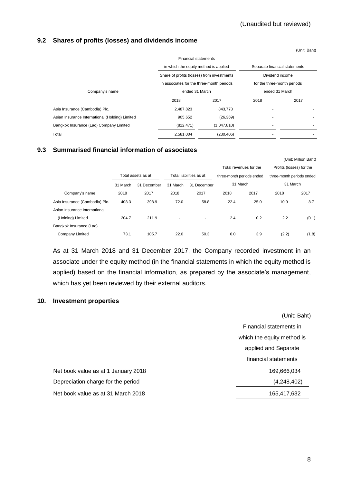(Unit: Million Baht)

### **9.2 Shares of profits (losses) and dividends income**

|                                                 |                                                                                         |             |                                                | (Unit: Baht) |
|-------------------------------------------------|-----------------------------------------------------------------------------------------|-------------|------------------------------------------------|--------------|
|                                                 | <b>Financial statements</b>                                                             |             |                                                |              |
|                                                 | in which the equity method is applied                                                   |             | Separate financial statements                  |              |
|                                                 | Share of profits (losses) from investments<br>in associates for the three-month periods |             | Dividend income<br>for the three-month periods |              |
|                                                 |                                                                                         |             |                                                |              |
| Company's name                                  | ended 31 March                                                                          |             | ended 31 March                                 |              |
|                                                 | 2018                                                                                    | 2017        | 2018                                           | 2017         |
| Asia Insurance (Cambodia) Plc.                  | 2,487,823                                                                               | 843,773     | $\blacksquare$                                 |              |
| Asian Insurance International (Holding) Limited | 905,652                                                                                 | (26, 369)   | $\blacksquare$                                 |              |
| Bangkok Insurance (Lao) Company Limited         | (812, 471)                                                                              | (1,047,810) |                                                |              |
| Total                                           | 2.581.004                                                                               | (230, 406)  |                                                |              |

### **9.3 Summarised financial information of associates**

| Profits (losses) for the<br>three-month periods ended |       |
|-------------------------------------------------------|-------|
|                                                       |       |
|                                                       |       |
| 31 March                                              |       |
| 2018                                                  | 2017  |
| 10.9                                                  | 8.7   |
|                                                       |       |
| 2.2                                                   | (0.1) |
|                                                       |       |
| (2.2)                                                 | (1.8) |
|                                                       |       |

As at 31 March 2018 and 31 December 2017, the Company recorded investment in an associate under the equity method (in the financial statements in which the equity method is applied) based on the financial information, as prepared by the associate's management, which has yet been reviewed by their external auditors.

### **10. Investment properties**

Net book value as at 1 January 2018 Depreciation charge for the period

Net book value as at 31 March 2018

| (Unit: Baht)               |
|----------------------------|
| Financial statements in    |
| which the equity method is |
| applied and Separate       |
| financial statements       |
| 169,666,034                |
| (4,248,402)                |
| 165,417,632                |
|                            |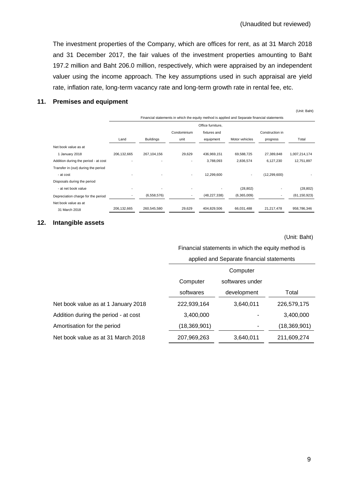The investment properties of the Company, which are offices for rent, as at 31 March 2018 and 31 December 2017, the fair values of the investment properties amounting to Baht 197.2 million and Baht 206.0 million, respectively, which were appraised by an independent valuer using the income approach. The key assumptions used in such appraisal are yield rate, inflation rate, long-term vacancy rate and long-term growth rate in rental fee, etc.

### **11. Premises and equipment**

|                                      | Financial statements in which the equity method is applied and Separate financial statements |                   |             |                |                |                 |                |  |  |
|--------------------------------------|----------------------------------------------------------------------------------------------|-------------------|-------------|----------------|----------------|-----------------|----------------|--|--|
|                                      |                                                                                              | Office furniture, |             |                |                |                 |                |  |  |
|                                      |                                                                                              |                   | Condominium | fixtures and   |                | Construction in |                |  |  |
|                                      | Land                                                                                         | <b>Buildings</b>  | unit        | equipment      | Motor vehicles | progress        | Total          |  |  |
| Net book value as at                 |                                                                                              |                   |             |                |                |                 |                |  |  |
| 1 January 2018                       | 206,132,665                                                                                  | 267,104,156       | 29,629      | 436,969,151    | 69,588,725     | 27,389,848      | 1,007,214,174  |  |  |
| Addition during the period - at cost |                                                                                              |                   | ٠           | 3,788,093      | 2,836,574      | 6,127,230       | 12,751,897     |  |  |
| Transfer in (out) during the period  |                                                                                              |                   |             |                |                |                 |                |  |  |
| - at cost                            |                                                                                              |                   | ۰           | 12,299,600     |                | (12, 299, 600)  |                |  |  |
| Disposals during the period          |                                                                                              |                   |             |                |                |                 |                |  |  |
| - at net book value                  |                                                                                              |                   |             |                | (28, 802)      |                 | (28, 802)      |  |  |
| Depreciation charge for the period   |                                                                                              | (6,558,576)       |             | (48, 227, 338) | (6,365,009)    |                 | (61, 150, 923) |  |  |
| Net book value as at                 |                                                                                              |                   |             |                |                |                 |                |  |  |
| 31 March 2018                        | 206,132,665                                                                                  | 260,545,580       | 29,629      | 404,829,506    | 66.031.488     | 21.217.478      | 958,786,346    |  |  |

### **12. Intangible assets**

(Unit: Baht)

(Unit: Baht)

Financial statements in which the equity method is

|                                      | applied and Separate financial statements |             |                |  |  |
|--------------------------------------|-------------------------------------------|-------------|----------------|--|--|
|                                      | Computer                                  |             |                |  |  |
|                                      | Computer<br>softwares under               |             |                |  |  |
|                                      | softwares                                 | development | Total          |  |  |
| Net book value as at 1 January 2018  | 222,939,164                               | 3,640,011   | 226,579,175    |  |  |
| Addition during the period - at cost | 3,400,000                                 |             | 3,400,000      |  |  |
| Amortisation for the period          | (18,369,901)                              |             | (18, 369, 901) |  |  |
| Net book value as at 31 March 2018   | 207,969,263                               | 3,640,011   | 211,609,274    |  |  |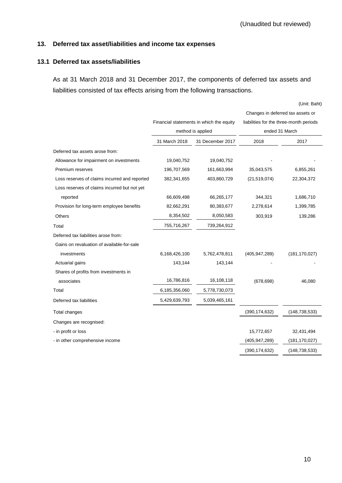### **13. Deferred tax asset/liabilities and income tax expenses**

### **13.1 Deferred tax assets/liabilities**

As at 31 March 2018 and 31 December 2017, the components of deferred tax assets and liabilities consisted of tax effects arising from the following transactions.

(Unit: Baht)

|                                               |               |                                          | Changes in deferred tax assets or |                                         |  |
|-----------------------------------------------|---------------|------------------------------------------|-----------------------------------|-----------------------------------------|--|
|                                               |               | Financial statements in which the equity |                                   | liabilities for the three-month periods |  |
|                                               |               | method is applied                        | ended 31 March                    |                                         |  |
|                                               | 31 March 2018 | 31 December 2017                         | 2018                              | 2017                                    |  |
| Deferred tax assets arose from:               |               |                                          |                                   |                                         |  |
| Allowance for impairment on investments       | 19,040,752    | 19,040,752                               |                                   |                                         |  |
| Premium reserves                              | 196,707,569   | 161,663,994                              | 35,043,575                        | 6,855,261                               |  |
| Loss reserves of claims incurred and reported | 382,341,655   | 403,860,729                              | (21, 519, 074)                    | 22,304,372                              |  |
| Loss reserves of claims incurred but not yet  |               |                                          |                                   |                                         |  |
| reported                                      | 66,609,498    | 66,265,177                               | 344,321                           | 1,686,710                               |  |
| Provision for long-term employee benefits     | 82,662,291    | 80,383,677                               | 2,278,614                         | 1,399,785                               |  |
| Others                                        | 8,354,502     | 8,050,583                                | 303,919                           | 139,286                                 |  |
| Total                                         | 755,716,267   | 739,264,912                              |                                   |                                         |  |
| Deferred tax liabilities arose from:          |               |                                          |                                   |                                         |  |
| Gains on revaluation of available-for-sale    |               |                                          |                                   |                                         |  |
| investments                                   | 6,168,426,100 | 5,762,478,811                            | (405, 947, 289)                   | (181, 170, 027)                         |  |
| Actuarial gains                               | 143,144       | 143,144                                  |                                   |                                         |  |
| Shares of profits from investments in         |               |                                          |                                   |                                         |  |
| associates                                    | 16,786,816    | 16,108,118                               | (678, 698)                        | 46,080                                  |  |
| Total                                         | 6,185,356,060 | 5,778,730,073                            |                                   |                                         |  |
| Deferred tax liabilities                      | 5,429,639,793 | 5,039,465,161                            |                                   |                                         |  |
| Total changes                                 |               |                                          | (390, 174, 632)                   | (148, 738, 533)                         |  |
| Changes are recognised:                       |               |                                          |                                   |                                         |  |
| - in profit or loss                           |               |                                          | 15,772,657                        | 32,431,494                              |  |
| - in other comprehensive income               |               |                                          | (405, 947, 289)                   | (181, 170, 027)                         |  |
|                                               |               |                                          | (390, 174, 632)                   | (148, 738, 533)                         |  |
|                                               |               |                                          |                                   |                                         |  |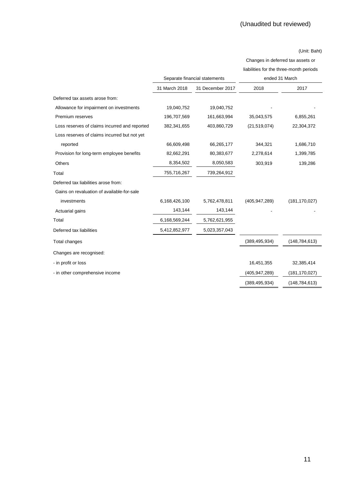#### (Unit: Baht)

Changes in deferred tax assets or

|                                               |               |                               | liabilities for the three-month periods |                 |  |
|-----------------------------------------------|---------------|-------------------------------|-----------------------------------------|-----------------|--|
|                                               |               | Separate financial statements | ended 31 March                          |                 |  |
|                                               | 31 March 2018 | 31 December 2017              | 2018                                    | 2017            |  |
| Deferred tax assets arose from:               |               |                               |                                         |                 |  |
| Allowance for impairment on investments       | 19,040,752    | 19,040,752                    |                                         |                 |  |
| Premium reserves                              | 196,707,569   | 161,663,994                   | 35,043,575                              | 6,855,261       |  |
| Loss reserves of claims incurred and reported | 382,341,655   | 403,860,729                   | (21, 519, 074)                          | 22,304,372      |  |
| Loss reserves of claims incurred but not yet  |               |                               |                                         |                 |  |
| reported                                      | 66,609,498    | 66,265,177                    | 344,321                                 | 1,686,710       |  |
| Provision for long-term employee benefits     | 82,662,291    | 80,383,677                    | 2,278,614                               | 1,399,785       |  |
| <b>Others</b>                                 | 8,354,502     | 8,050,583                     | 303,919                                 | 139,286         |  |
| Total                                         | 755,716,267   | 739,264,912                   |                                         |                 |  |
| Deferred tax liabilities arose from:          |               |                               |                                         |                 |  |
| Gains on revaluation of available-for-sale    |               |                               |                                         |                 |  |
| investments                                   | 6,168,426,100 | 5,762,478,811                 | (405, 947, 289)                         | (181, 170, 027) |  |
| Actuarial gains                               | 143,144       | 143,144                       |                                         |                 |  |
| Total                                         | 6,168,569,244 | 5,762,621,955                 |                                         |                 |  |
| Deferred tax liabilities                      | 5,412,852,977 | 5,023,357,043                 |                                         |                 |  |
| Total changes                                 |               |                               | (389, 495, 934)                         | (148, 784, 613) |  |
| Changes are recognised:                       |               |                               |                                         |                 |  |
| - in profit or loss                           |               |                               | 16,451,355                              | 32,385,414      |  |
| - in other comprehensive income               |               |                               | (405, 947, 289)                         | (181, 170, 027) |  |
|                                               |               |                               | (389, 495, 934)                         | (148, 784, 613) |  |
|                                               |               |                               |                                         |                 |  |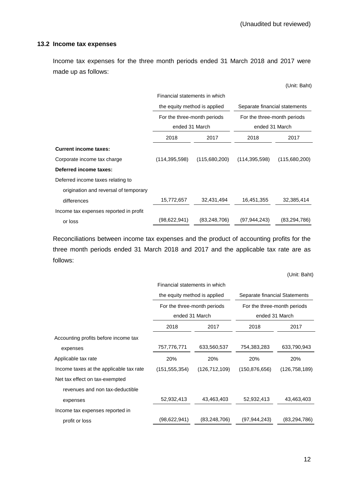(Unit: Baht)

#### **13.2 Income tax expenses**

Income tax expenses for the three month periods ended 31 March 2018 and 2017 were made up as follows:

|                                        | Financial statements in which |                |                 |                                                              |  |  |
|----------------------------------------|-------------------------------|----------------|-----------------|--------------------------------------------------------------|--|--|
|                                        | the equity method is applied  |                |                 | Separate financial statements<br>For the three-month periods |  |  |
|                                        | For the three-month periods   |                |                 |                                                              |  |  |
|                                        | ended 31 March                |                | ended 31 March  |                                                              |  |  |
|                                        | 2018<br>2017                  |                | 2018            | 2017                                                         |  |  |
| <b>Current income taxes:</b>           |                               |                |                 |                                                              |  |  |
| Corporate income tax charge            | (114, 395, 598)               | (115,680,200)  | (114, 395, 598) | (115,680,200)                                                |  |  |
| Deferred income taxes:                 |                               |                |                 |                                                              |  |  |
| Deferred income taxes relating to      |                               |                |                 |                                                              |  |  |
| origination and reversal of temporary  |                               |                |                 |                                                              |  |  |
| differences                            | 15,772,657                    | 32,431,494     | 16,451,355      | 32,385,414                                                   |  |  |
| Income tax expenses reported in profit |                               |                |                 |                                                              |  |  |
| or loss                                | (98,622,941)                  | (83, 248, 706) | (97,944,243)    | (83, 294, 786)                                               |  |  |

Reconciliations between income tax expenses and the product of accounting profits for the three month periods ended 31 March 2018 and 2017 and the applicable tax rate are as follows:

(Unit: Baht)

|                                         | Financial statements in which |                 |                               |                 |  |
|-----------------------------------------|-------------------------------|-----------------|-------------------------------|-----------------|--|
|                                         | the equity method is applied  |                 | Separate financial Statements |                 |  |
|                                         | For the three-month periods   |                 | For the three-month periods   |                 |  |
|                                         | ended 31 March                |                 | ended 31 March                |                 |  |
|                                         | 2018                          | 2017            | 2018                          | 2017            |  |
| Accounting profits before income tax    |                               |                 |                               |                 |  |
| expenses                                | 757,776,771                   | 633,560,537     | 754,383,283                   | 633,790,943     |  |
| Applicable tax rate                     | 20%                           | 20%             | 20%                           | 20%             |  |
| Income taxes at the applicable tax rate | (151, 555, 354)               | (126, 712, 109) | (150, 876, 656)               | (126, 758, 189) |  |
| Net tax effect on tax-exempted          |                               |                 |                               |                 |  |
| revenues and non tax-deductible         |                               |                 |                               |                 |  |
| expenses                                | 52,932,413                    | 43,463,403      | 52,932,413                    | 43,463,403      |  |
| Income tax expenses reported in         |                               |                 |                               |                 |  |
| profit or loss                          | (98,622,941)                  | (83, 248, 706)  | (97, 944, 243)                | (83, 294, 786)  |  |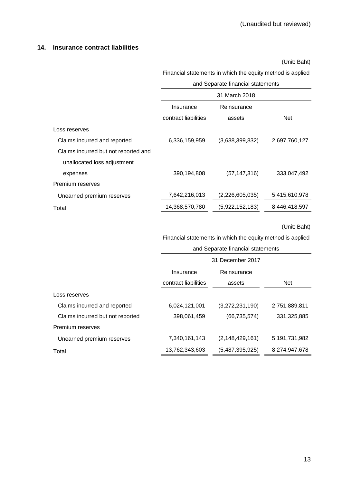### **14. Insurance contract liabilities**

(Unit: Baht)

Financial statements in which the equity method is applied

|                                      | and Separate financial statements |                 |               |  |  |
|--------------------------------------|-----------------------------------|-----------------|---------------|--|--|
|                                      |                                   | 31 March 2018   |               |  |  |
|                                      | Reinsurance<br>Insurance          |                 |               |  |  |
|                                      | contract liabilities              | assets          | <b>Net</b>    |  |  |
| Loss reserves                        |                                   |                 |               |  |  |
| Claims incurred and reported         | 6,336,159,959                     | (3,638,399,832) | 2,697,760,127 |  |  |
| Claims incurred but not reported and |                                   |                 |               |  |  |
| unallocated loss adjustment          |                                   |                 |               |  |  |

| expenses                  | 390.194.808    | (57, 147, 316)  | 333,047,492   |
|---------------------------|----------------|-----------------|---------------|
| Premium reserves          |                |                 |               |
| Unearned premium reserves | 7,642,216,013  | (2,226,605,035) | 5,415,610,978 |
| Total                     | 14,368,570,780 | (5,922,152,183) | 8,446,418,597 |

(Unit: Baht)

Financial statements in which the equity method is applied

and Separate financial statements

|                                  | 31 December 2017     |                    |               |  |
|----------------------------------|----------------------|--------------------|---------------|--|
|                                  | Insurance            | Reinsurance        |               |  |
|                                  | contract liabilities | assets             | <b>Net</b>    |  |
| Loss reserves                    |                      |                    |               |  |
| Claims incurred and reported     | 6,024,121,001        | (3,272,231,190)    | 2,751,889,811 |  |
| Claims incurred but not reported | 398,061,459          | (66, 735, 574)     | 331,325,885   |  |
| Premium reserves                 |                      |                    |               |  |
| Unearned premium reserves        | 7,340,161,143        | (2, 148, 429, 161) | 5,191,731,982 |  |
| Total                            | 13,762,343,603       | (5,487,395,925)    | 8,274,947,678 |  |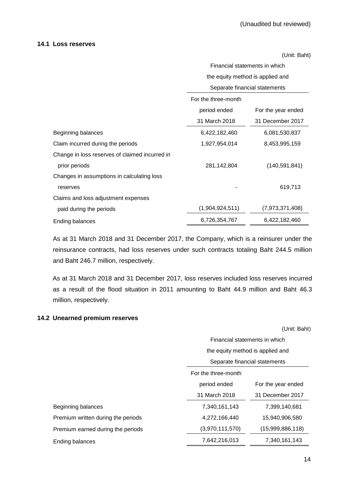#### **14.1 Loss reserves**

(Unit: Baht)

Financial statements in which the equity method is applied and Separate financial statements

|                                                | ocparato ilitariolal statuttionts |                    |  |
|------------------------------------------------|-----------------------------------|--------------------|--|
|                                                | For the three-month               |                    |  |
|                                                | period ended                      | For the year ended |  |
|                                                | 31 March 2018                     | 31 December 2017   |  |
| Beginning balances                             | 6,422,182,460                     | 6,081,530,837      |  |
| Claim incurred during the periods              | 1,927,954,014                     | 8,453,995,159      |  |
| Change in loss reserves of claimed incurred in |                                   |                    |  |
| prior periods                                  | 281,142,804                       | (140, 591, 841)    |  |
| Changes in assumptions in calculating loss     |                                   |                    |  |
| reserves                                       |                                   | 619,713            |  |
| Claims and loss adjustment expenses            |                                   |                    |  |
| paid during the periods                        | (1,904,924,511)                   | (7,973,371,408)    |  |
| Ending balances                                | 6,726,354,767                     | 6,422,182,460      |  |

As at 31 March 2018 and 31 December 2017, the Company, which is a reinsurer under the reinsurance contracts, had loss reserves under such contracts totaling Baht 244.5 million and Baht 246.7 million, respectively.

As at 31 March 2018 and 31 December 2017, loss reserves included loss reserves incurred as a result of the flood situation in 2011 amounting to Baht 44.9 million and Baht 46.3 million, respectively.

# **14.2 Unearned premium reserves**

(Unit: Baht)

Financial statements in which the equity method is applied and

|                                    | Separate financial statements      |                  |  |
|------------------------------------|------------------------------------|------------------|--|
|                                    | For the three-month                |                  |  |
|                                    | period ended<br>For the year ended |                  |  |
|                                    | 31 March 2018                      | 31 December 2017 |  |
| Beginning balances                 | 7,340,161,143                      | 7,399,140,681    |  |
| Premium written during the periods | 4,272,166,440                      | 15,940,906,580   |  |
| Premium earned during the periods  | (3,970,111,570)                    | (15,999,886,118) |  |
| Ending balances                    | 7,642,216,013                      | 7,340,161,143    |  |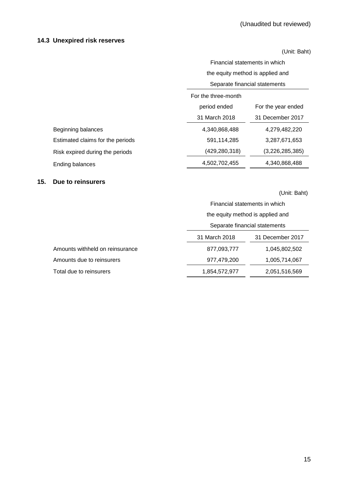# **14.3 Unexpired risk reserves**

(Unit: Baht)

|                                  | Financial statements in which     |                    |  |
|----------------------------------|-----------------------------------|--------------------|--|
|                                  | the equity method is applied and  |                    |  |
|                                  | Separate financial statements     |                    |  |
|                                  | For the three-month               |                    |  |
|                                  | period ended                      | For the year ended |  |
|                                  | 31 March 2018<br>31 December 2017 |                    |  |
| Beginning balances               | 4,340,868,488                     | 4,279,482,220      |  |
| Estimated claims for the periods | 591,114,285                       | 3,287,671,653      |  |
| Risk expired during the periods  | (429,280,318)                     | (3,226,285,385)    |  |
| Ending balances                  | 4,502,702,455                     | 4,340,868,488      |  |

### **15. Due to reinsurers**

(Unit: Baht)

|                                 | Financial statements in which     |               |  |
|---------------------------------|-----------------------------------|---------------|--|
|                                 | the equity method is applied and  |               |  |
|                                 | Separate financial statements     |               |  |
|                                 | 31 March 2018<br>31 December 2017 |               |  |
| Amounts withheld on reinsurance | 877,093,777                       | 1,045,802,502 |  |
| Amounts due to reinsurers       | 977,479,200                       | 1,005,714,067 |  |
| Total due to reinsurers         | 1,854,572,977                     | 2,051,516,569 |  |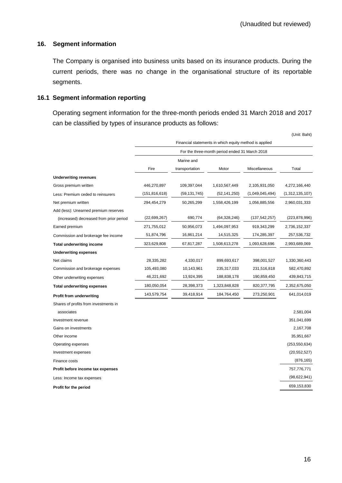### **16. Segment information**

The Company is organised into business units based on its insurance products. During the current periods, there was no change in the organisational structure of its reportable segments.

# **16.1 Segment information reporting**

Operating segment information for the three-month periods ended 31 March 2018 and 2017 can be classified by types of insurance products as follows:

|                                         |                 |                |                                                        |                 | (Unit: Baht)    |
|-----------------------------------------|-----------------|----------------|--------------------------------------------------------|-----------------|-----------------|
|                                         |                 |                | Financial statements in which equity method is applied |                 |                 |
|                                         |                 |                | For the three-month period ended 31 March 2018         |                 |                 |
|                                         |                 | Marine and     |                                                        |                 |                 |
|                                         | Fire            | transportation | Motor                                                  | Miscellaneous   | Total           |
| <b>Underwriting revenues</b>            |                 |                |                                                        |                 |                 |
| Gross premium written                   | 446,270,897     | 109,397,044    | 1,610,567,449                                          | 2,105,931,050   | 4,272,166,440   |
| Less: Premium ceded to reinsurers       | (151, 816, 618) | (59, 131, 745) | (52, 141, 250)                                         | (1,049,045,494) | (1,312,135,107) |
| Net premium written                     | 294,454,279     | 50,265,299     | 1,558,426,199                                          | 1,056,885,556   | 2,960,031,333   |
| Add (less): Unearned premium reserves   |                 |                |                                                        |                 |                 |
| (increased) decreased from prior period | (22, 699, 267)  | 690,774        | (64, 328, 246)                                         | (137, 542, 257) | (223, 878, 996) |
| Earned premium                          | 271,755,012     | 50,956,073     | 1,494,097,953                                          | 919,343,299     | 2,736,152,337   |
| Commission and brokerage fee income     | 51,874,796      | 16,861,214     | 14,515,325                                             | 174,285,397     | 257,536,732     |
| <b>Total underwriting income</b>        | 323,629,808     | 67,817,287     | 1,508,613,278                                          | 1,093,628,696   | 2,993,689,069   |
| <b>Underwriting expenses</b>            |                 |                |                                                        |                 |                 |
| Net claims                              | 28,335,282      | 4,330,017      | 899,693,617                                            | 398,001,527     | 1,330,360,443   |
| Commission and brokerage expenses       | 105,493,080     | 10,143,961     | 235,317,033                                            | 231,516,818     | 582,470,892     |
| Other underwriting expenses             | 46,221,692      | 13,924,395     | 188,838,178                                            | 190,859,450     | 439,843,715     |
| <b>Total underwriting expenses</b>      | 180,050,054     | 28,398,373     | 1,323,848,828                                          | 820, 377, 795   | 2,352,675,050   |
| <b>Profit from underwriting</b>         | 143,579,754     | 39,418,914     | 184,764,450                                            | 273,250,901     | 641,014,019     |
| Shares of profits from investments in   |                 |                |                                                        |                 |                 |
| associates                              |                 |                |                                                        |                 | 2,581,004       |
| Investment revenue                      |                 |                |                                                        |                 | 351,041,699     |
| Gains on investments                    |                 |                |                                                        |                 | 2,167,708       |
| Other income                            |                 |                |                                                        |                 | 35,951,667      |
| Operating expenses                      |                 |                |                                                        |                 | (253, 550, 634) |
| Investment expenses                     |                 |                |                                                        |                 | (20, 552, 527)  |
| Finance costs                           |                 |                |                                                        |                 | (876, 165)      |
| Profit before income tax expenses       |                 |                |                                                        |                 | 757,776,771     |
| Less: Income tax expenses               |                 |                |                                                        |                 | (98, 622, 941)  |
| Profit for the period                   |                 |                |                                                        |                 | 659,153,830     |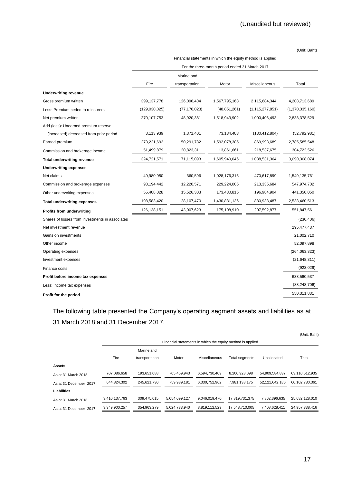(Unit: Baht)

|                                                 | Financial statements in which the equity method is applied |                |                |                    |                 |  |
|-------------------------------------------------|------------------------------------------------------------|----------------|----------------|--------------------|-----------------|--|
|                                                 | For the three-month period ended 31 March 2017             |                |                |                    |                 |  |
|                                                 |                                                            | Marine and     |                |                    |                 |  |
|                                                 | Fire                                                       | transportation | Motor          | Miscellaneous      | Total           |  |
| <b>Underwriting revenue</b>                     |                                                            |                |                |                    |                 |  |
| Gross premium written                           | 399, 137, 778                                              | 126,096,404    | 1,567,795,163  | 2,115,684,344      | 4,208,713,689   |  |
| Less: Premium ceded to reinsurers               | (129,030,025)                                              | (77, 176, 023) | (48, 851, 261) | (1, 115, 277, 851) | (1,370,335,160) |  |
| Net premium written                             | 270, 107, 753                                              | 48,920,381     | 1,518,943,902  | 1,000,406,493      | 2,838,378,529   |  |
| Add (less): Unearned premium reserve            |                                                            |                |                |                    |                 |  |
| (increased) decreased from prior period         | 3,113,939                                                  | 1,371,401      | 73,134,483     | (130, 412, 804)    | (52, 792, 981)  |  |
| Earned premium                                  | 273,221,692                                                | 50,291,782     | 1,592,078,385  | 869,993,689        | 2,785,585,548   |  |
| Commission and brokerage income                 | 51,499,879                                                 | 20,823,311     | 13,861,661     | 218,537,675        | 304,722,526     |  |
| <b>Total underwriting revenue</b>               | 324,721,571                                                | 71,115,093     | 1,605,940,046  | 1,088,531,364      | 3,090,308,074   |  |
| <b>Underwriting expenses</b>                    |                                                            |                |                |                    |                 |  |
| Net claims                                      | 49,980,950                                                 | 360,596        | 1,028,176,316  | 470,617,899        | 1,549,135,761   |  |
| Commission and brokerage expenses               | 93,194,442                                                 | 12,220,571     | 229,224,005    | 213,335,684        | 547,974,702     |  |
| Other underwriting expenses                     | 55,408,028                                                 | 15,526,303     | 173,430,815    | 196,984,904        | 441,350,050     |  |
| <b>Total underwriting expenses</b>              | 198,583,420                                                | 28,107,470     | 1,430,831,136  | 880,938,487        | 2,538,460,513   |  |
| <b>Profits from underwriting</b>                | 126, 138, 151                                              | 43,007,623     | 175,108,910    | 207,592,877        | 551,847,561     |  |
| Shares of losses from investments in associates |                                                            |                |                |                    | (230, 406)      |  |
| Net investment revenue                          |                                                            |                |                |                    | 295,477,437     |  |
| Gains on investments                            |                                                            |                |                |                    | 21,002,710      |  |
| Other income                                    |                                                            |                |                |                    | 52,097,898      |  |
| Operating expenses                              |                                                            |                |                |                    | (264,063,323)   |  |
| Investment expenses                             |                                                            |                |                |                    | (21, 648, 311)  |  |
| Finance costs                                   |                                                            |                |                |                    | (923, 029)      |  |
| Profit before income tax expenses               |                                                            |                |                |                    | 633,560,537     |  |
| Less: Income tax expenses                       |                                                            |                |                |                    | (83, 248, 706)  |  |
| Profit for the period                           |                                                            |                |                |                    | 550,311,831     |  |

The following table presented the Company's operating segment assets and liabilities as at 31 March 2018 and 31 December 2017.

|                        |               |                |               |               |                                                            |                | (Unit: Baht)   |
|------------------------|---------------|----------------|---------------|---------------|------------------------------------------------------------|----------------|----------------|
|                        |               |                |               |               | Financial statements in which the equity method is applied |                |                |
|                        |               | Marine and     |               |               |                                                            |                |                |
|                        | Fire          | transportation | Motor         | Miscellaneous | Total segments                                             | Unallocated    | Total          |
| <b>Assets</b>          |               |                |               |               |                                                            |                |                |
| As at 31 March 2018    | 707,086,658   | 193,651,088    | 705.459.943   | 6,594,730,409 | 8,200,928,098                                              | 54,909,584,837 | 63,110,512,935 |
| As at 31 December 2017 | 644,824,302   | 245,621,730    | 759,939,181   | 6,330,752,962 | 7,981,138,175                                              | 52,121,642,186 | 60,102,780,361 |
| Liabilities            |               |                |               |               |                                                            |                |                |
| As at 31 March 2018    | 3,410,137,763 | 309,475,015    | 5.054.099.127 | 9.046.019.470 | 17,819,731,375                                             | 7.862.396.635  | 25,682,128,010 |
| As at 31 December 2017 | 3,349,900,257 | 354,963,279    | 5,024,733,940 | 8,819,112,529 | 17,548,710,005                                             | 7,408,628,411  | 24,957,338,416 |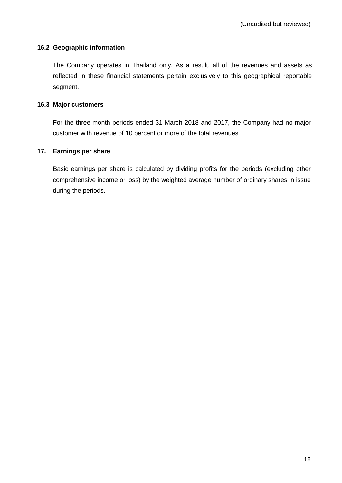### **16.2 Geographic information**

The Company operates in Thailand only. As a result, all of the revenues and assets as reflected in these financial statements pertain exclusively to this geographical reportable segment.

### **16.3 Major customers**

For the three-month periods ended 31 March 2018 and 2017, the Company had no major customer with revenue of 10 percent or more of the total revenues.

### **17. Earnings per share**

Basic earnings per share is calculated by dividing profits for the periods (excluding other comprehensive income or loss) by the weighted average number of ordinary shares in issue during the periods.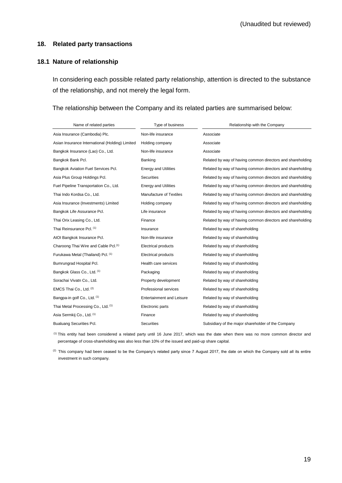### **18. Related party transactions**

### **18.1 Nature of relationship**

In considering each possible related party relationship, attention is directed to the substance of the relationship, and not merely the legal form.

The relationship between the Company and its related parties are summarised below:

| Name of related parties                          | Type of business                 | Relationship with the Company                              |
|--------------------------------------------------|----------------------------------|------------------------------------------------------------|
| Asia Insurance (Cambodia) Plc.                   | Non-life insurance               | Associate                                                  |
| Asian Insurance International (Holding) Limited  | Holding company                  | Associate                                                  |
| Bangkok Insurance (Lao) Co., Ltd.                | Non-life insurance               | Associate                                                  |
| Bangkok Bank Pcl.                                | Banking                          | Related by way of having common directors and shareholding |
| Bangkok Aviation Fuel Services Pcl.              | <b>Energy and Utilities</b>      | Related by way of having common directors and shareholding |
| Asia Plus Group Holdings Pcl.                    | <b>Securities</b>                | Related by way of having common directors and shareholding |
| Fuel Pipeline Transportation Co., Ltd.           | <b>Energy and Utilities</b>      | Related by way of having common directors and shareholding |
| Thai Indo Kordsa Co., Ltd.                       | Manufacture of Textiles          | Related by way of having common directors and shareholding |
| Asia Insurance (Investments) Limited             | Holding company                  | Related by way of having common directors and shareholding |
| Bangkok Life Assurance Pcl.                      | Life insurance                   | Related by way of having common directors and shareholding |
| Thai Orix Leasing Co., Ltd.                      | Finance                          | Related by way of having common directors and shareholding |
| Thai Reinsurance Pcl. (1)                        | Insurance                        | Related by way of shareholding                             |
| AIOI Bangkok Insurance Pcl.                      | Non-life insurance               | Related by way of shareholding                             |
| Charoong Thai Wire and Cable Pcl. <sup>(1)</sup> | <b>Electrical products</b>       | Related by way of shareholding                             |
| Furukawa Metal (Thailand) Pcl. (1)               | Electrical products              | Related by way of shareholding                             |
| Bumrungrad Hospital Pcl.                         | Health care services             | Related by way of shareholding                             |
| Bangkok Glass Co., Ltd. (1)                      | Packaging                        | Related by way of shareholding                             |
| Sorachai Vivatn Co., Ltd.                        | Property development             | Related by way of shareholding                             |
| EMCS Thai Co., Ltd. (2)                          | Professional services            | Related by way of shareholding                             |
| Bangpa-in golf Co., Ltd. (1)                     | <b>Entertainment and Leisure</b> | Related by way of shareholding                             |
| Thai Metal Processing Co., Ltd. (1)              | Electronic parts                 | Related by way of shareholding                             |
| Asia Sermkij Co., Ltd. (1)                       | Finance                          | Related by way of shareholding                             |
| <b>Bualuang Securities Pcl.</b>                  | <b>Securities</b>                | Subsidiary of the major shareholder of the Company         |

(1) This entity had been considered a related party until 16 June 2017, which was the date when there was no more common director and percentage of cross-shareholding was also less than 10% of the issued and paid-up share capital.

 $(2)$  This company had been ceased to be the Company's related party since 7 August 2017, the date on which the Company sold all its entire investment in such company.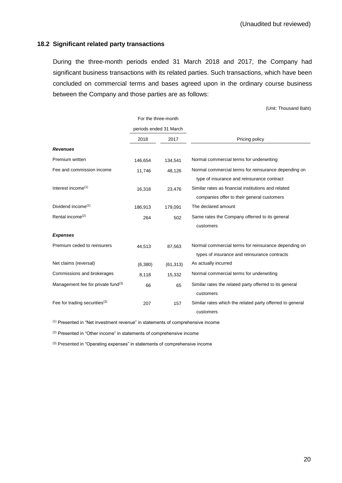(Unit: Thousand Baht)

### **18.2 Significant related party transactions**

During the three-month periods ended 31 March 2018 and 2017, the Company had significant business transactions with its related parties. Such transactions, which have been concluded on commercial terms and bases agreed upon in the ordinary course business between the Company and those parties are as follows:

For the three-month periods ended 31 March 2018 2017 2017 Pricing policy *Revenues* Premium written 146,654 134,541 Normal commercial terms for underwriting Fee and commission income 11,746 48,126 Normal commercial terms for reinsurance depending on type of insurance and reinsurance contract Interest income<sup>(1)</sup> 16,318 23,476 Similar rates as financial institutions and related companies offer to their general customers Dividend income<sup>(1)</sup> 186,913 179,091 The declared amount Rental income<sup>(2)</sup> 264 502 Same rates the Company offerred to its general customers *Expenses* Premium ceded to reinsurers  $44,513$   $87,563$  Normal commercial terms for reinsurance depending on types of insurance and reinsurance contracts Net claims (reversal)  $(6,380)$   $(61,313)$  As actually incurred Commissions and brokerages 8,118 15,332 Normal commercial terms for underwriting Management fee for private fund<sup>(3)</sup>  $66$  65 Similar rates the related party offerred to its general customers Fee for trading securities<sup>(3)</sup> 207 157 Similar rates which the related party offerred to general customers

(1) Presented in "Net investment revenue" in statements of comprehensive income

(2) Presented in "Other income" in statements of comprehensive income

(3) Presented in "Operating expenses" in statements of comprehensive income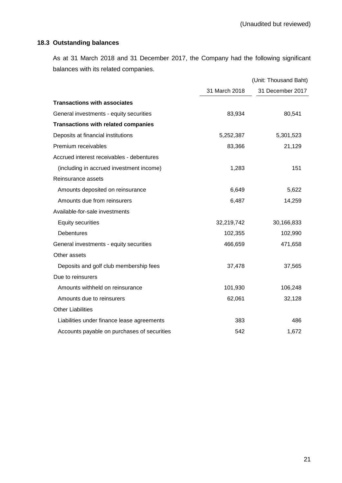# **18.3 Outstanding balances**

As at 31 March 2018 and 31 December 2017, the Company had the following significant balances with its related companies.

|                                             | (Unit: Thousand Baht) |                  |  |
|---------------------------------------------|-----------------------|------------------|--|
|                                             | 31 March 2018         | 31 December 2017 |  |
| <b>Transactions with associates</b>         |                       |                  |  |
| General investments - equity securities     | 83,934                | 80,541           |  |
| <b>Transactions with related companies</b>  |                       |                  |  |
| Deposits at financial institutions          | 5,252,387             | 5,301,523        |  |
| Premium receivables                         | 83,366                | 21,129           |  |
| Accrued interest receivables - debentures   |                       |                  |  |
| (including in accrued investment income)    | 1,283                 | 151              |  |
| Reinsurance assets                          |                       |                  |  |
| Amounts deposited on reinsurance            | 6,649                 | 5,622            |  |
| Amounts due from reinsurers                 | 6,487                 | 14,259           |  |
| Available-for-sale investments              |                       |                  |  |
| <b>Equity securities</b>                    | 32,219,742            | 30,166,833       |  |
| <b>Debentures</b>                           | 102,355               | 102,990          |  |
| General investments - equity securities     | 466,659               | 471,658          |  |
| Other assets                                |                       |                  |  |
| Deposits and golf club membership fees      | 37,478                | 37,565           |  |
| Due to reinsurers                           |                       |                  |  |
| Amounts withheld on reinsurance             | 101,930               | 106,248          |  |
| Amounts due to reinsurers                   | 62,061                | 32,128           |  |
| <b>Other Liabilities</b>                    |                       |                  |  |
| Liabilities under finance lease agreements  | 383                   | 486              |  |
| Accounts payable on purchases of securities | 542                   | 1,672            |  |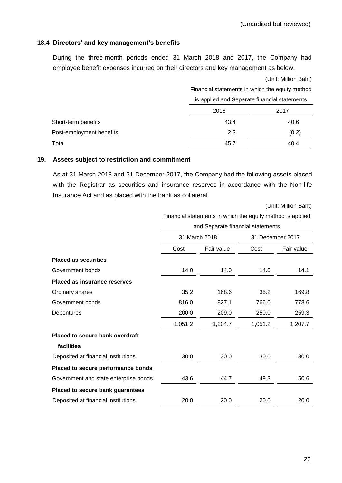### **18.4 Directors' and key management's benefits**

During the three-month periods ended 31 March 2018 and 2017, the Company had employee benefit expenses incurred on their directors and key management as below.

|                          |      | (Unit: Million Baht)<br>Financial statements in which the equity method |  |  |  |
|--------------------------|------|-------------------------------------------------------------------------|--|--|--|
|                          |      |                                                                         |  |  |  |
|                          |      | is applied and Separate financial statements                            |  |  |  |
|                          | 2018 | 2017                                                                    |  |  |  |
| Short-term benefits      | 43.4 | 40.6                                                                    |  |  |  |
| Post-employment benefits | 2.3  | (0.2)                                                                   |  |  |  |
| Total                    | 45.7 | 40.4                                                                    |  |  |  |

#### **19. Assets subject to restriction and commitment**

As at 31 March 2018 and 31 December 2017, the Company had the following assets placed with the Registrar as securities and insurance reserves in accordance with the Non-life Insurance Act and as placed with the bank as collateral.

(Unit: Million Baht)

|                                        | Financial statements in which the equity method is applied |            |                  |            |  |
|----------------------------------------|------------------------------------------------------------|------------|------------------|------------|--|
|                                        | and Separate financial statements                          |            |                  |            |  |
|                                        | 31 March 2018                                              |            | 31 December 2017 |            |  |
|                                        | Cost                                                       | Fair value | Cost             | Fair value |  |
| <b>Placed as securities</b>            |                                                            |            |                  |            |  |
| Government bonds                       | 14.0                                                       | 14.0       | 14.0             | 14.1       |  |
| <b>Placed as insurance reserves</b>    |                                                            |            |                  |            |  |
| Ordinary shares                        | 35.2                                                       | 168.6      | 35.2             | 169.8      |  |
| Government bonds                       | 816.0                                                      | 827.1      | 766.0            | 778.6      |  |
| <b>Debentures</b>                      | 200.0                                                      | 209.0      | 250.0            | 259.3      |  |
|                                        | 1,051.2                                                    | 1,204.7    | 1,051.2          | 1,207.7    |  |
| <b>Placed to secure bank overdraft</b> |                                                            |            |                  |            |  |
| facilities                             |                                                            |            |                  |            |  |
| Deposited at financial institutions    | 30.0                                                       | 30.0       | 30.0             | 30.0       |  |
| Placed to secure performance bonds     |                                                            |            |                  |            |  |
| Government and state enterprise bonds  | 43.6                                                       | 44.7       | 49.3             | 50.6       |  |
| Placed to secure bank guarantees       |                                                            |            |                  |            |  |
| Deposited at financial institutions    | 20.0                                                       | 20.0       | 20.0             | 20.0       |  |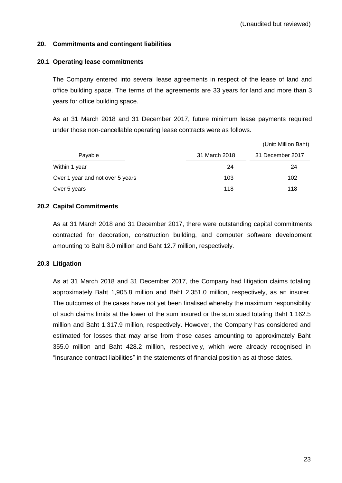### **20. Commitments and contingent liabilities**

### **20.1 Operating lease commitments**

The Company entered into several lease agreements in respect of the lease of land and office building space. The terms of the agreements are 33 years for land and more than 3 years for office building space.

As at 31 March 2018 and 31 December 2017, future minimum lease payments required under those non-cancellable operating lease contracts were as follows.

|                                  |               | (Unit: Million Baht) |  |
|----------------------------------|---------------|----------------------|--|
| Payable                          | 31 March 2018 | 31 December 2017     |  |
| Within 1 year                    | 24            | 24                   |  |
| Over 1 year and not over 5 years | 103           | 102                  |  |
| Over 5 years                     | 118           | 118                  |  |

### **20.2 Capital Commitments**

As at 31 March 2018 and 31 December 2017, there were outstanding capital commitments contracted for decoration, construction building, and computer software development amounting to Baht 8.0 million and Baht 12.7 million, respectively.

### **20.3 Litigation**

As at 31 March 2018 and 31 December 2017, the Company had litigation claims totaling approximately Baht 1,905.8 million and Baht 2,351.0 million, respectively, as an insurer. The outcomes of the cases have not yet been finalised whereby the maximum responsibility of such claims limits at the lower of the sum insured or the sum sued totaling Baht 1,162.5 million and Baht 1,317.9 million, respectively. However, the Company has considered and estimated for losses that may arise from those cases amounting to approximately Baht 355.0 million and Baht 428.2 million, respectively, which were already recognised in "Insurance contract liabilities" in the statements of financial position as at those dates.